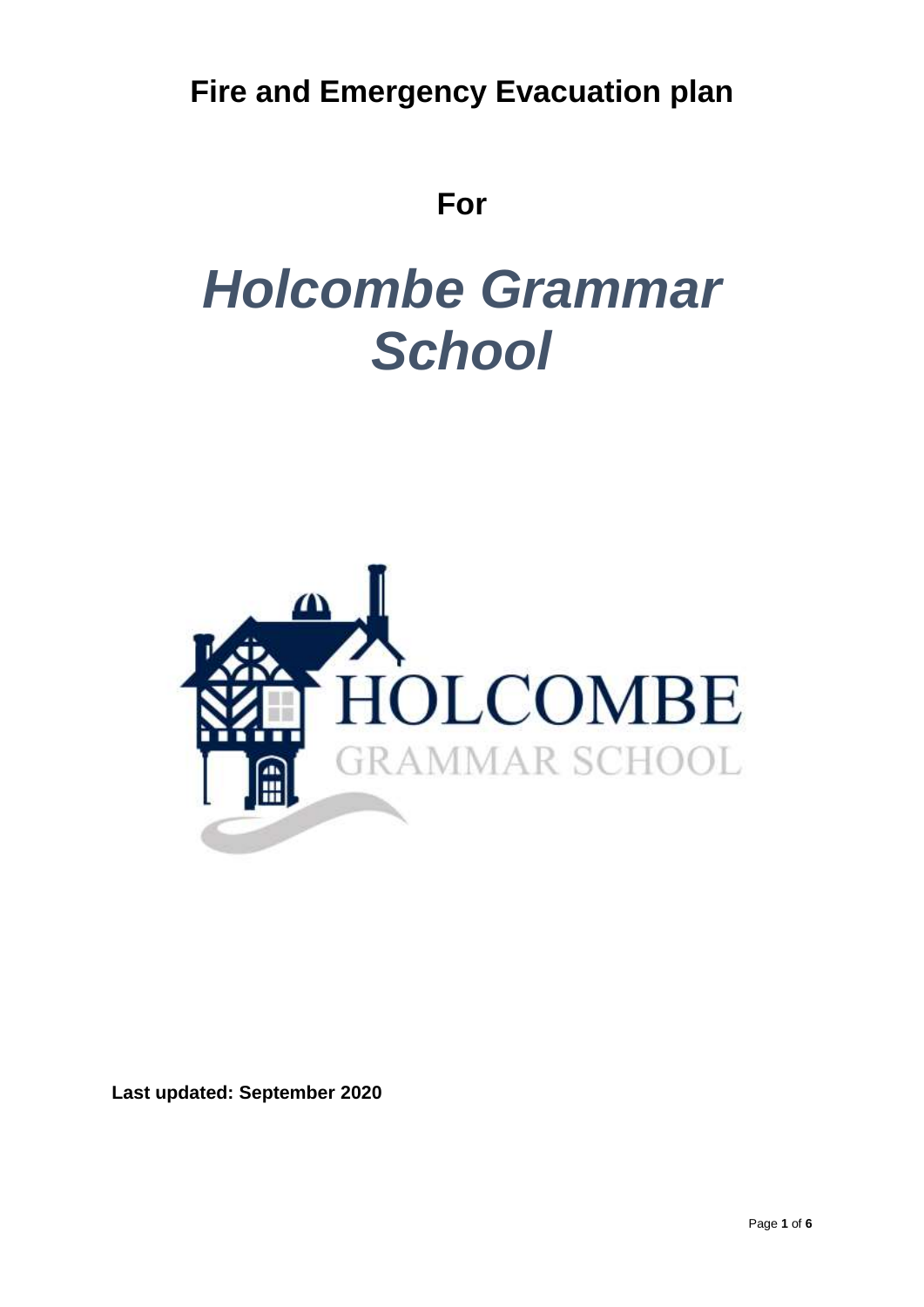**Fire and Emergency Evacuation plan**

# **For**

# *Holcombe Grammar School*



**Last updated: September 2020**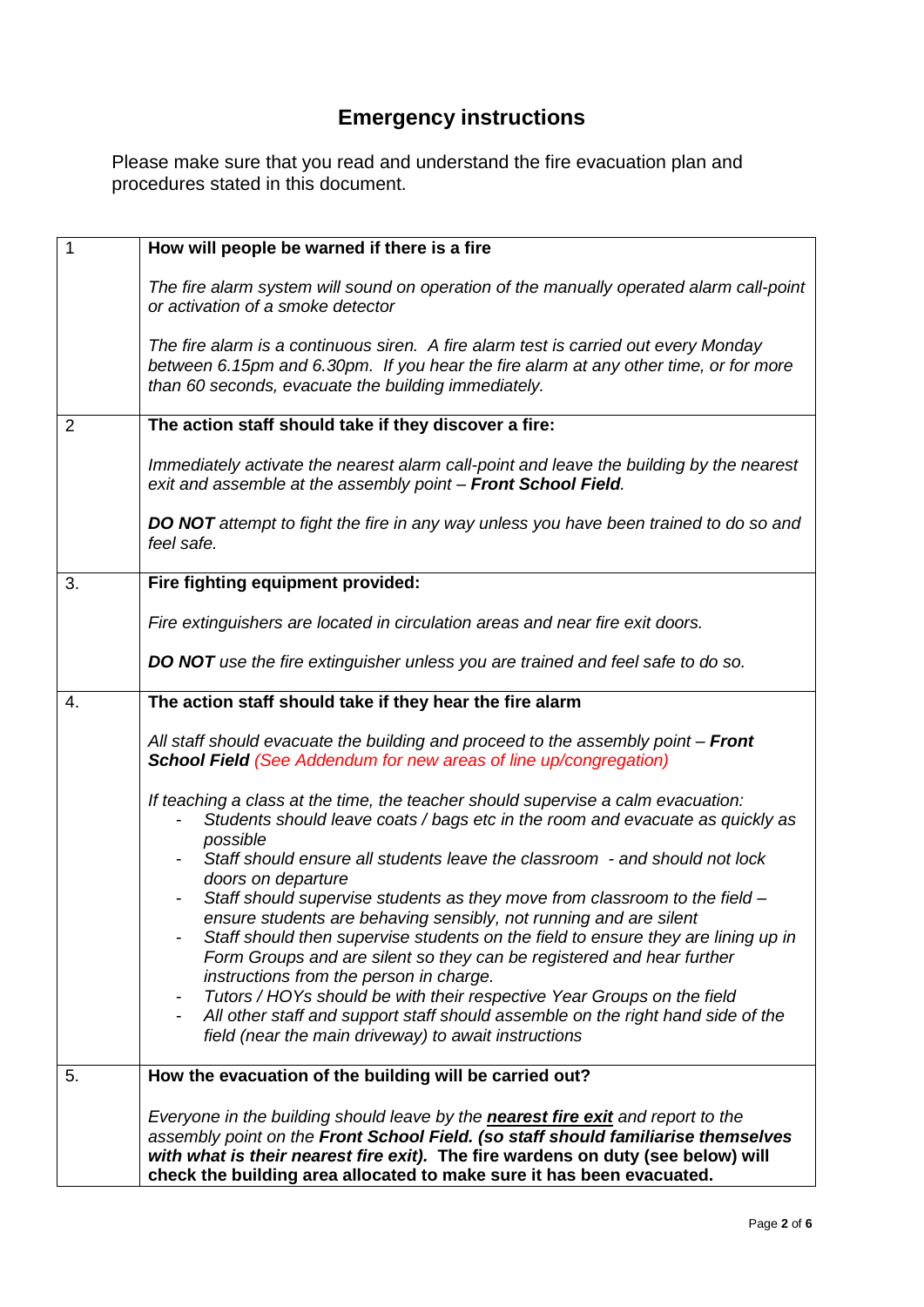# **Emergency instructions**

Please make sure that you read and understand the fire evacuation plan and procedures stated in this document.

| $\mathbf{1}$   | How will people be warned if there is a fire                                                                                                                                                                                                                                                                                                                                                                                                                                                                          |
|----------------|-----------------------------------------------------------------------------------------------------------------------------------------------------------------------------------------------------------------------------------------------------------------------------------------------------------------------------------------------------------------------------------------------------------------------------------------------------------------------------------------------------------------------|
|                | The fire alarm system will sound on operation of the manually operated alarm call-point<br>or activation of a smoke detector                                                                                                                                                                                                                                                                                                                                                                                          |
|                | The fire alarm is a continuous siren. A fire alarm test is carried out every Monday<br>between 6.15pm and 6.30pm. If you hear the fire alarm at any other time, or for more<br>than 60 seconds, evacuate the building immediately.                                                                                                                                                                                                                                                                                    |
| $\overline{2}$ | The action staff should take if they discover a fire:                                                                                                                                                                                                                                                                                                                                                                                                                                                                 |
|                | Immediately activate the nearest alarm call-point and leave the building by the nearest<br>exit and assemble at the assembly point - Front School Field.                                                                                                                                                                                                                                                                                                                                                              |
|                | <b>DO NOT</b> attempt to fight the fire in any way unless you have been trained to do so and<br>feel safe.                                                                                                                                                                                                                                                                                                                                                                                                            |
| 3.             | Fire fighting equipment provided:                                                                                                                                                                                                                                                                                                                                                                                                                                                                                     |
|                | Fire extinguishers are located in circulation areas and near fire exit doors.                                                                                                                                                                                                                                                                                                                                                                                                                                         |
|                | DO NOT use the fire extinguisher unless you are trained and feel safe to do so.                                                                                                                                                                                                                                                                                                                                                                                                                                       |
| 4.             | The action staff should take if they hear the fire alarm                                                                                                                                                                                                                                                                                                                                                                                                                                                              |
|                | All staff should evacuate the building and proceed to the assembly point - Front<br><b>School Field (See Addendum for new areas of line up/congregation)</b>                                                                                                                                                                                                                                                                                                                                                          |
|                | If teaching a class at the time, the teacher should supervise a calm evacuation:<br>Students should leave coats / bags etc in the room and evacuate as quickly as<br>possible<br>Staff should ensure all students leave the classroom - and should not lock<br>doors on departure                                                                                                                                                                                                                                     |
|                | Staff should supervise students as they move from classroom to the field -<br>ensure students are behaving sensibly, not running and are silent<br>Staff should then supervise students on the field to ensure they are lining up in<br>Form Groups and are silent so they can be registered and hear further<br>instructions from the person in charge.<br>Tutors / HOYs should be with their respective Year Groups on the field<br>All other staff and support staff should assemble on the right hand side of the |
|                | field (near the main driveway) to await instructions                                                                                                                                                                                                                                                                                                                                                                                                                                                                  |
| 5.             | How the evacuation of the building will be carried out?                                                                                                                                                                                                                                                                                                                                                                                                                                                               |
|                | Everyone in the building should leave by the <b>nearest fire exit</b> and report to the<br>assembly point on the Front School Field. (so staff should familiarise themselves<br>with what is their nearest fire exit). The fire wardens on duty (see below) will<br>check the building area allocated to make sure it has been evacuated.                                                                                                                                                                             |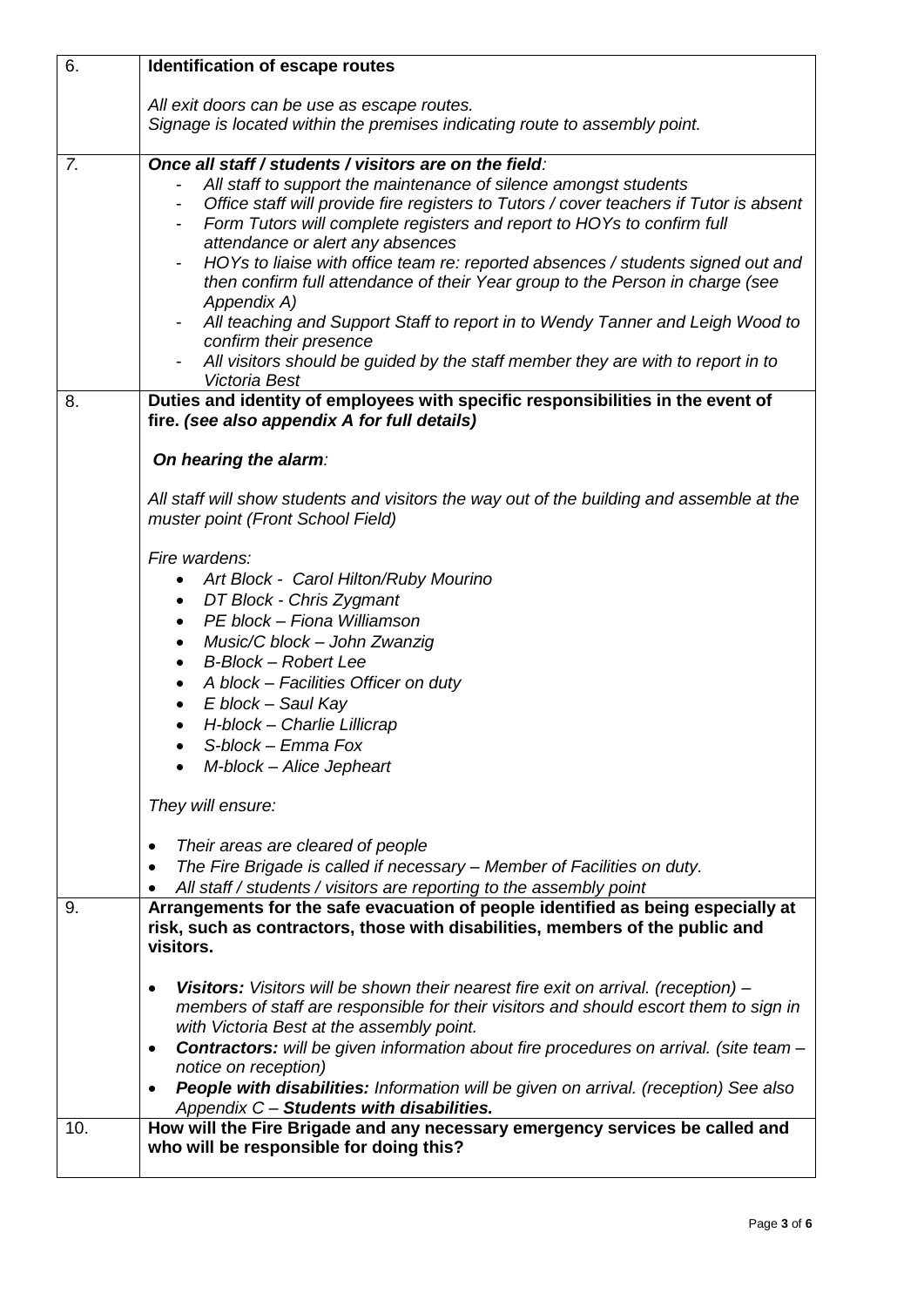| 6.  | Identification of escape routes                                                                                                                                                                                                                                                                                                                                                                                                                                                                                                                                                                                                                                                                                                                                                              |
|-----|----------------------------------------------------------------------------------------------------------------------------------------------------------------------------------------------------------------------------------------------------------------------------------------------------------------------------------------------------------------------------------------------------------------------------------------------------------------------------------------------------------------------------------------------------------------------------------------------------------------------------------------------------------------------------------------------------------------------------------------------------------------------------------------------|
|     | All exit doors can be use as escape routes.<br>Signage is located within the premises indicating route to assembly point.                                                                                                                                                                                                                                                                                                                                                                                                                                                                                                                                                                                                                                                                    |
| 7.  | Once all staff / students / visitors are on the field:<br>All staff to support the maintenance of silence amongst students<br>Office staff will provide fire registers to Tutors / cover teachers if Tutor is absent<br>Form Tutors will complete registers and report to HOYs to confirm full<br>attendance or alert any absences<br>HOYs to liaise with office team re: reported absences / students signed out and<br>$\overline{\phantom{a}}$<br>then confirm full attendance of their Year group to the Person in charge (see<br>Appendix A)<br>All teaching and Support Staff to report in to Wendy Tanner and Leigh Wood to<br>$\overline{\phantom{a}}$<br>confirm their presence<br>All visitors should be guided by the staff member they are with to report in to<br>Victoria Best |
| 8.  | Duties and identity of employees with specific responsibilities in the event of<br>fire. (see also appendix A for full details)<br>On hearing the alarm:                                                                                                                                                                                                                                                                                                                                                                                                                                                                                                                                                                                                                                     |
|     | All staff will show students and visitors the way out of the building and assemble at the<br>muster point (Front School Field)<br>Fire wardens:                                                                                                                                                                                                                                                                                                                                                                                                                                                                                                                                                                                                                                              |
|     | Art Block - Carol Hilton/Ruby Mourino<br>DT Block - Chris Zygmant<br>٠<br>PE block - Fiona Williamson<br>٠<br>Music/C block - John Zwanzig<br>$\bullet$<br><b>B-Block - Robert Lee</b><br>$\bullet$<br>A block - Facilities Officer on duty<br>٠<br>E block - Saul Kay<br>$\bullet$<br>H-block - Charlie Lillicrap                                                                                                                                                                                                                                                                                                                                                                                                                                                                           |
|     | S-block - Emma Fox<br>M-block - Alice Jepheart<br>They will ensure:                                                                                                                                                                                                                                                                                                                                                                                                                                                                                                                                                                                                                                                                                                                          |
|     | Their areas are cleared of people<br>٠<br>The Fire Brigade is called if necessary - Member of Facilities on duty.<br>٠<br>All staff / students / visitors are reporting to the assembly point                                                                                                                                                                                                                                                                                                                                                                                                                                                                                                                                                                                                |
| 9.  | Arrangements for the safe evacuation of people identified as being especially at<br>risk, such as contractors, those with disabilities, members of the public and<br>visitors.                                                                                                                                                                                                                                                                                                                                                                                                                                                                                                                                                                                                               |
|     | Visitors: Visitors will be shown their nearest fire exit on arrival. (reception) -<br>$\bullet$<br>members of staff are responsible for their visitors and should escort them to sign in<br>with Victoria Best at the assembly point.<br><b>Contractors:</b> will be given information about fire procedures on arrival. (site team -<br>٠<br>notice on reception)<br>People with disabilities: Information will be given on arrival. (reception) See also<br>Appendix C - Students with disabilities.                                                                                                                                                                                                                                                                                       |
| 10. | How will the Fire Brigade and any necessary emergency services be called and<br>who will be responsible for doing this?                                                                                                                                                                                                                                                                                                                                                                                                                                                                                                                                                                                                                                                                      |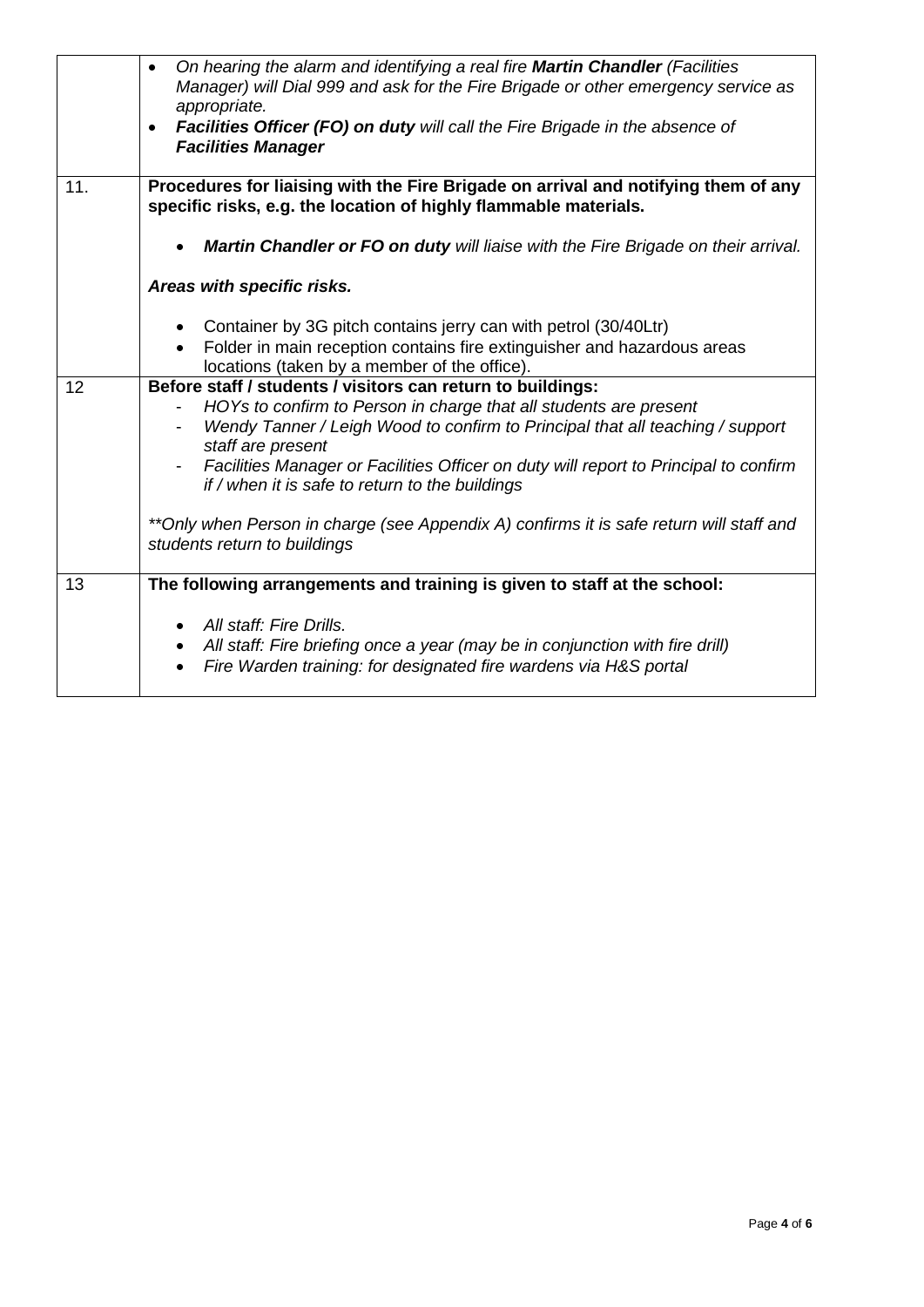|     | On hearing the alarm and identifying a real fire Martin Chandler (Facilities<br>$\bullet$<br>Manager) will Dial 999 and ask for the Fire Brigade or other emergency service as<br>appropriate.<br><b>Facilities Officer (FO) on duty will call the Fire Brigade in the absence of</b><br>$\bullet$<br><b>Facilities Manager</b>                                                                                                                                                                              |
|-----|--------------------------------------------------------------------------------------------------------------------------------------------------------------------------------------------------------------------------------------------------------------------------------------------------------------------------------------------------------------------------------------------------------------------------------------------------------------------------------------------------------------|
| 11. | Procedures for liaising with the Fire Brigade on arrival and notifying them of any<br>specific risks, e.g. the location of highly flammable materials.                                                                                                                                                                                                                                                                                                                                                       |
|     | Martin Chandler or FO on duty will liaise with the Fire Brigade on their arrival.<br>$\bullet$                                                                                                                                                                                                                                                                                                                                                                                                               |
|     | Areas with specific risks.                                                                                                                                                                                                                                                                                                                                                                                                                                                                                   |
|     | Container by 3G pitch contains jerry can with petrol (30/40Ltr)<br>Folder in main reception contains fire extinguisher and hazardous areas<br>locations (taken by a member of the office).                                                                                                                                                                                                                                                                                                                   |
| 12  | Before staff / students / visitors can return to buildings:<br>HOYs to confirm to Person in charge that all students are present<br>Wendy Tanner / Leigh Wood to confirm to Principal that all teaching / support<br>staff are present<br>Facilities Manager or Facilities Officer on duty will report to Principal to confirm<br>if / when it is safe to return to the buildings<br>**Only when Person in charge (see Appendix A) confirms it is safe return will staff and<br>students return to buildings |
| 13  | The following arrangements and training is given to staff at the school:<br>All staff: Fire Drills.<br>$\bullet$<br>All staff: Fire briefing once a year (may be in conjunction with fire drill)<br>$\bullet$<br>Fire Warden training: for designated fire wardens via H&S portal                                                                                                                                                                                                                            |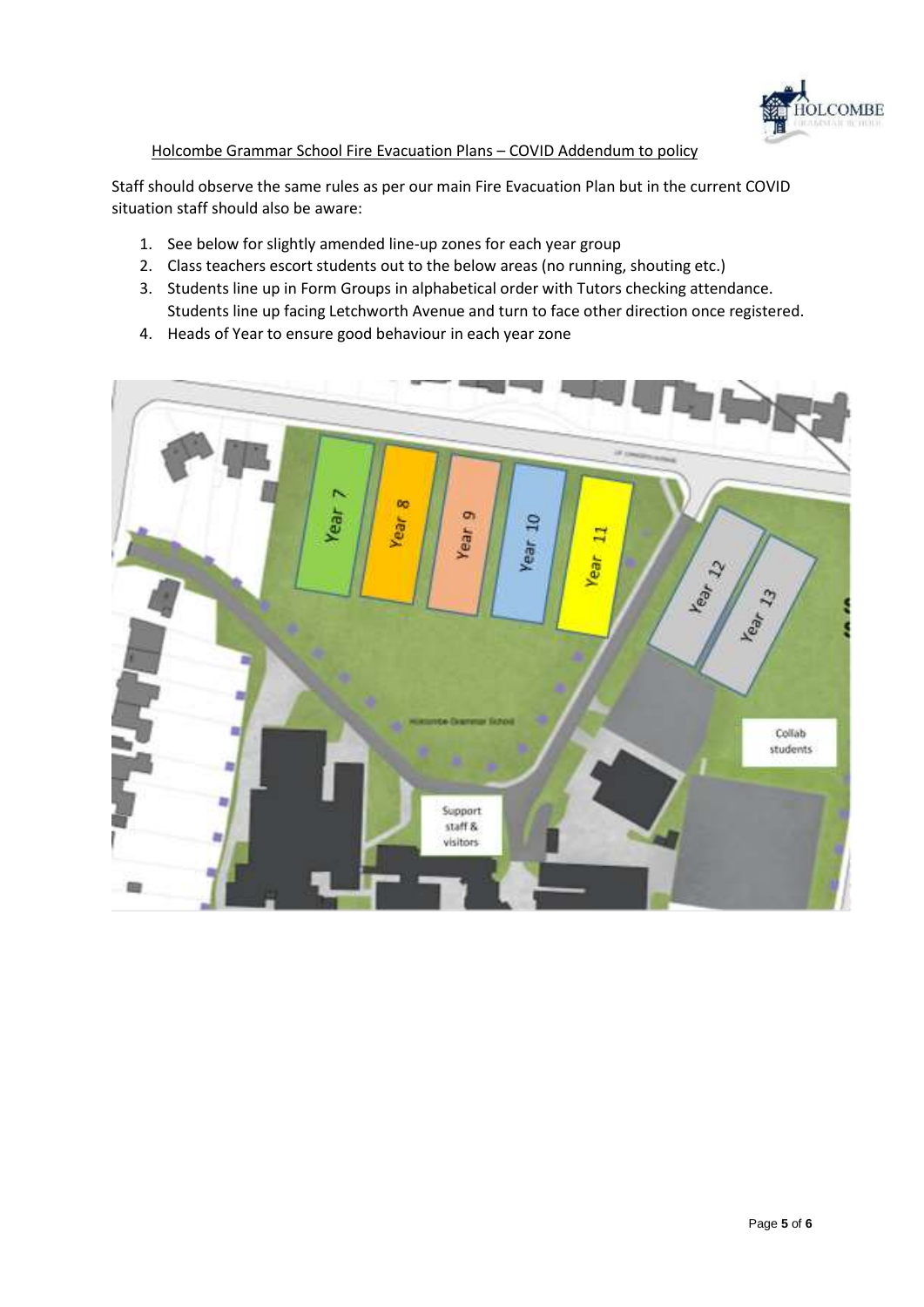

#### Holcombe Grammar School Fire Evacuation Plans – COVID Addendum to policy

Staff should observe the same rules as per our main Fire Evacuation Plan but in the current COVID situation staff should also be aware:

- 1. See below for slightly amended line-up zones for each year group
- 2. Class teachers escort students out to the below areas (no running, shouting etc.)
- 3. Students line up in Form Groups in alphabetical order with Tutors checking attendance. Students line up facing Letchworth Avenue and turn to face other direction once registered.
- 4. Heads of Year to ensure good behaviour in each year zone